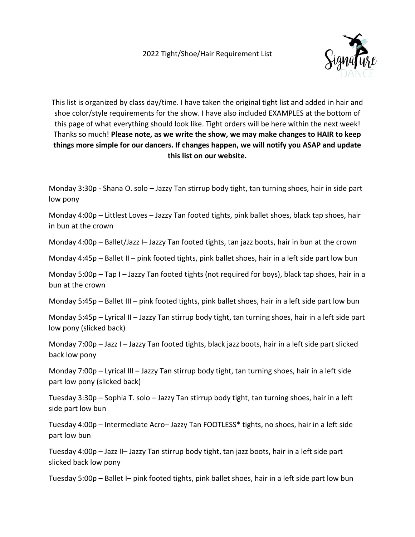

This list is organized by class day/time. I have taken the original tight list and added in hair and shoe color/style requirements for the show. I have also included EXAMPLES at the bottom of this page of what everything should look like. Tight orders will be here within the next week! Thanks so much! **Please note, as we write the show, we may make changes to HAIR to keep things more simple for our dancers. If changes happen, we will notify you ASAP and update this list on our website.** 

Monday 3:30p - Shana O. solo – Jazzy Tan stirrup body tight, tan turning shoes, hair in side part low pony

Monday 4:00p – Littlest Loves – Jazzy Tan footed tights, pink ballet shoes, black tap shoes, hair in bun at the crown

Monday 4:00p – Ballet/Jazz I– Jazzy Tan footed tights, tan jazz boots, hair in bun at the crown

Monday 4:45p – Ballet II – pink footed tights, pink ballet shoes, hair in a left side part low bun

Monday 5:00p – Tap I – Jazzy Tan footed tights (not required for boys), black tap shoes, hair in a bun at the crown

Monday 5:45p – Ballet III – pink footed tights, pink ballet shoes, hair in a left side part low bun

Monday 5:45p – Lyrical II – Jazzy Tan stirrup body tight, tan turning shoes, hair in a left side part low pony (slicked back)

Monday 7:00p – Jazz I – Jazzy Tan footed tights, black jazz boots, hair in a left side part slicked back low pony

Monday 7:00p – Lyrical III – Jazzy Tan stirrup body tight, tan turning shoes, hair in a left side part low pony (slicked back)

Tuesday 3:30p – Sophia T. solo – Jazzy Tan stirrup body tight, tan turning shoes, hair in a left side part low bun

Tuesday 4:00p – Intermediate Acro– Jazzy Tan FOOTLESS\* tights, no shoes, hair in a left side part low bun

Tuesday 4:00p – Jazz II– Jazzy Tan stirrup body tight, tan jazz boots, hair in a left side part slicked back low pony

Tuesday 5:00p – Ballet I– pink footed tights, pink ballet shoes, hair in a left side part low bun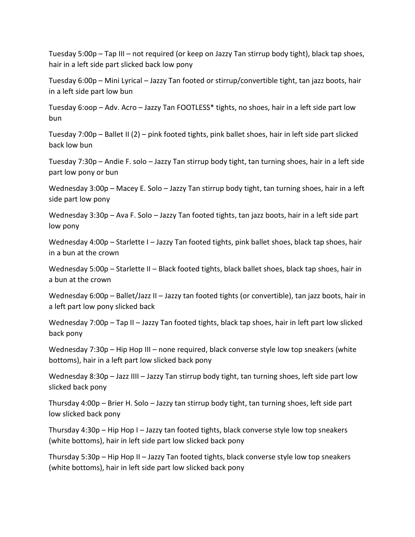Tuesday 5:00p – Tap III – not required (or keep on Jazzy Tan stirrup body tight), black tap shoes, hair in a left side part slicked back low pony

Tuesday 6:00p – Mini Lyrical – Jazzy Tan footed or stirrup/convertible tight, tan jazz boots, hair in a left side part low bun

Tuesday 6:oop – Adv. Acro – Jazzy Tan FOOTLESS\* tights, no shoes, hair in a left side part low bun

Tuesday 7:00p – Ballet II (2) – pink footed tights, pink ballet shoes, hair in left side part slicked back low bun

Tuesday 7:30p – Andie F. solo – Jazzy Tan stirrup body tight, tan turning shoes, hair in a left side part low pony or bun

Wednesday 3:00p – Macey E. Solo – Jazzy Tan stirrup body tight, tan turning shoes, hair in a left side part low pony

Wednesday 3:30p – Ava F. Solo – Jazzy Tan footed tights, tan jazz boots, hair in a left side part low pony

Wednesday 4:00p – Starlette I – Jazzy Tan footed tights, pink ballet shoes, black tap shoes, hair in a bun at the crown

Wednesday 5:00p – Starlette II – Black footed tights, black ballet shoes, black tap shoes, hair in a bun at the crown

Wednesday 6:00p – Ballet/Jazz II – Jazzy tan footed tights (or convertible), tan jazz boots, hair in a left part low pony slicked back

Wednesday 7:00p – Tap II – Jazzy Tan footed tights, black tap shoes, hair in left part low slicked back pony

Wednesday 7:30p – Hip Hop III – none required, black converse style low top sneakers (white bottoms), hair in a left part low slicked back pony

Wednesday 8:30p – Jazz IIII – Jazzy Tan stirrup body tight, tan turning shoes, left side part low slicked back pony

Thursday 4:00p – Brier H. Solo – Jazzy tan stirrup body tight, tan turning shoes, left side part low slicked back pony

Thursday 4:30p – Hip Hop I – Jazzy tan footed tights, black converse style low top sneakers (white bottoms), hair in left side part low slicked back pony

Thursday 5:30p – Hip Hop II – Jazzy Tan footed tights, black converse style low top sneakers (white bottoms), hair in left side part low slicked back pony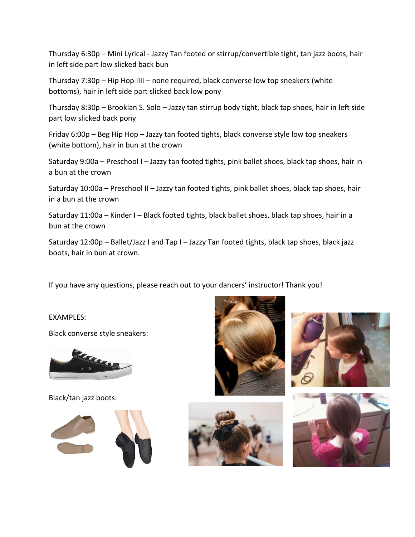Thursday 6:30p – Mini Lyrical - Jazzy Tan footed or stirrup/convertible tight, tan jazz boots, hair in left side part low slicked back bun

Thursday 7:30p – Hip Hop IIII – none required, black converse low top sneakers (white bottoms), hair in left side part slicked back low pony

Thursday 8:30p – Brooklan S. Solo – Jazzy tan stirrup body tight, black tap shoes, hair in left side part low slicked back pony

Friday 6:00p – Beg Hip Hop – Jazzy tan footed tights, black converse style low top sneakers (white bottom), hair in bun at the crown

Saturday 9:00a – Preschool I – Jazzy tan footed tights, pink ballet shoes, black tap shoes, hair in a bun at the crown

Saturday 10:00a – Preschool II – Jazzy tan footed tights, pink ballet shoes, black tap shoes, hair in a bun at the crown

Saturday 11:00a – Kinder I – Black footed tights, black ballet shoes, black tap shoes, hair in a bun at the crown

Saturday 12:00p – Ballet/Jazz I and Tap I – Jazzy Tan footed tights, black tap shoes, black jazz boots, hair in bun at crown.

If you have any questions, please reach out to your dancers' instructor! Thank you!

EXAMPLES:

Black converse style sneakers:



Black/tan jazz boots: